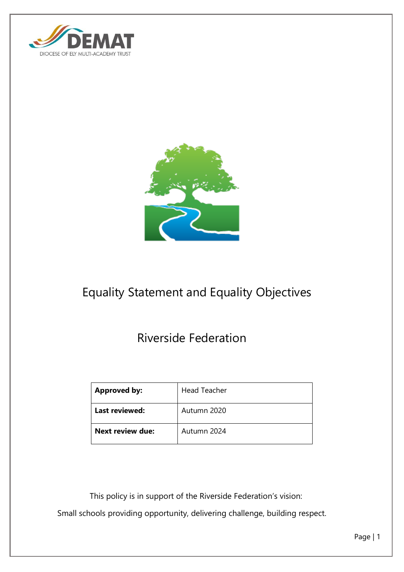



# Equality Statement and Equality Objectives

# Riverside Federation

| <b>Approved by:</b>     | <b>Head Teacher</b> |
|-------------------------|---------------------|
| <b>Last reviewed:</b>   | Autumn 2020         |
| <b>Next review due:</b> | Autumn 2024         |

 This policy is in support of the Riverside Federation's vision: Small schools providing opportunity, delivering challenge, building respect.

Page | 1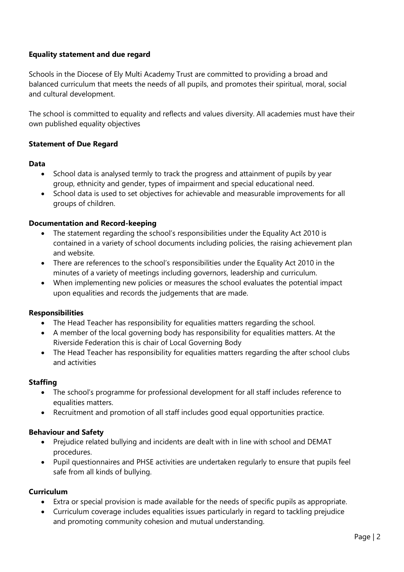## **Equality statement and due regard**

Schools in the Diocese of Ely Multi Academy Trust are committed to providing a broad and balanced curriculum that meets the needs of all pupils, and promotes their spiritual, moral, social and cultural development.

The school is committed to equality and reflects and values diversity. All academies must have their own published equality objectives

#### **Statement of Due Regard**

#### **Data**

- School data is analysed termly to track the progress and attainment of pupils by year group, ethnicity and gender, types of impairment and special educational need.
- School data is used to set objectives for achievable and measurable improvements for all groups of children.

#### **Documentation and Record-keeping**

- The statement regarding the school's responsibilities under the Equality Act 2010 is contained in a variety of school documents including policies, the raising achievement plan and website.
- There are references to the school's responsibilities under the Equality Act 2010 in the minutes of a variety of meetings including governors, leadership and curriculum.
- When implementing new policies or measures the school evaluates the potential impact upon equalities and records the judgements that are made.

#### **Responsibilities**

- The Head Teacher has responsibility for equalities matters regarding the school.
- A member of the local governing body has responsibility for equalities matters. At the Riverside Federation this is chair of Local Governing Body
- The Head Teacher has responsibility for equalities matters regarding the after school clubs and activities

#### **Staffing**

- The school's programme for professional development for all staff includes reference to equalities matters.
- Recruitment and promotion of all staff includes good equal opportunities practice.

#### **Behaviour and Safety**

- Prejudice related bullying and incidents are dealt with in line with school and DEMAT procedures.
- Pupil questionnaires and PHSE activities are undertaken regularly to ensure that pupils feel safe from all kinds of bullying.

#### **Curriculum**

- Extra or special provision is made available for the needs of specific pupils as appropriate.
- Curriculum coverage includes equalities issues particularly in regard to tackling prejudice and promoting community cohesion and mutual understanding.